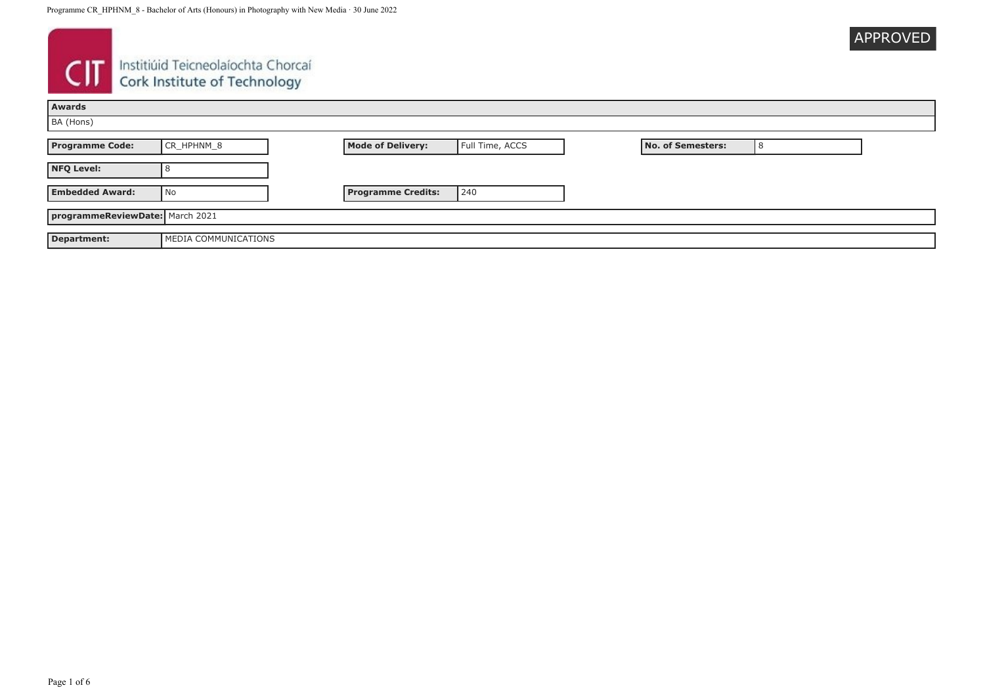|  | <b>APPROVED</b> |
|--|-----------------|
|  |                 |

# **CIT** Instituid Teicneolaíochta Chorcaí

| Awards                          |                      |                           |                 |                   |  |
|---------------------------------|----------------------|---------------------------|-----------------|-------------------|--|
| BA (Hons)                       |                      |                           |                 |                   |  |
| <b>Programme Code:</b>          | CR_HPHNM_8           | <b>Mode of Delivery:</b>  | Full Time, ACCS | No. of Semesters: |  |
| <b>NFQ Level:</b>               |                      |                           |                 |                   |  |
| <b>Embedded Award:</b>          | l No                 | <b>Programme Credits:</b> | 240             |                   |  |
| programmeReviewDate: March 2021 |                      |                           |                 |                   |  |
| Department:                     | MEDIA COMMUNICATIONS |                           |                 |                   |  |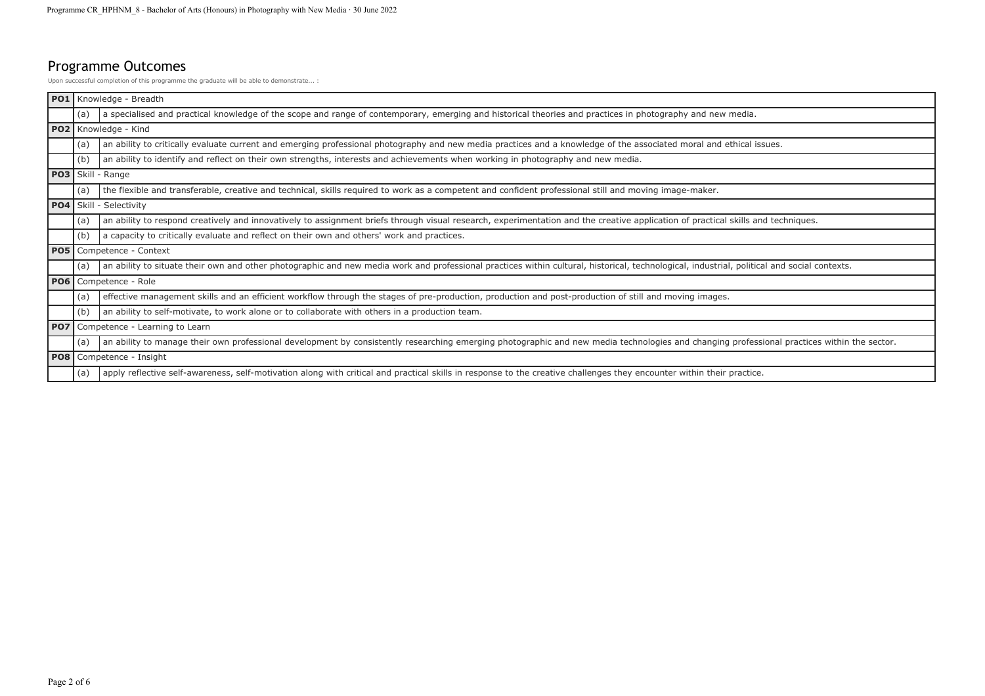# Programme Outcomes

Upon successful completion of this programme the graduate will be able to demonstrate... :

| <b>PO1</b>      |     | Knowledge - Breadth                                                                                                                                                                         |
|-----------------|-----|---------------------------------------------------------------------------------------------------------------------------------------------------------------------------------------------|
|                 | (a) | a specialised and practical knowledge of the scope and range of contemporary, emerging and historical theories and practices in photography and new media.                                  |
| PO2             |     | Knowledge - Kind                                                                                                                                                                            |
|                 | (a) | an ability to critically evaluate current and emerging professional photography and new media practices and a knowledge of the associated moral and ethical issues.                         |
|                 | (b) | an ability to identify and reflect on their own strengths, interests and achievements when working in photography and new media.                                                            |
|                 |     | <b>PO3</b> Skill - Range                                                                                                                                                                    |
|                 | (a) | the flexible and transferable, creative and technical, skills required to work as a competent and confident professional still and moving image-maker.                                      |
| PO <sub>4</sub> |     | Skill - Selectivity                                                                                                                                                                         |
|                 | (a) | an ability to respond creatively and innovatively to assignment briefs through visual research, experimentation and the creative application of practical skills and techniques.            |
|                 | (b) | a capacity to critically evaluate and reflect on their own and others' work and practices.                                                                                                  |
| <b>PO5</b>      |     | Competence - Context                                                                                                                                                                        |
|                 | (a) | an ability to situate their own and other photographic and new media work and professional practices within cultural, historical, technological, industrial, political and social contexts. |
| <b>PO6</b>      |     | Competence - Role                                                                                                                                                                           |
|                 | (a) | effective management skills and an efficient workflow through the stages of pre-production, production and post-production of still and moving images.                                      |
|                 | (b) | an ability to self-motivate, to work alone or to collaborate with others in a production team.                                                                                              |
| PO <sub>7</sub> |     | Competence - Learning to Learn                                                                                                                                                              |
|                 | (a) | an ability to manage their own professional development by consistently researching emerging photographic and new media technologies and changing professional practices within the sector. |
| <b>PO8</b>      |     | Competence - Insight                                                                                                                                                                        |
|                 | (a) | apply reflective self-awareness, self-motivation along with critical and practical skills in response to the creative challenges they encounter within their practice.                      |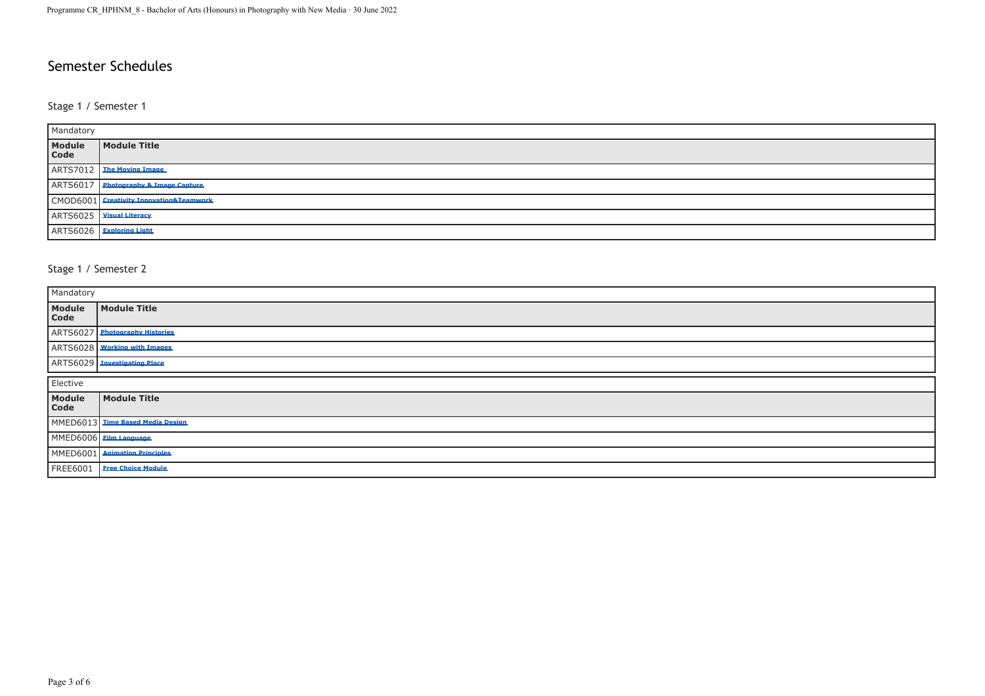# Semester Schedules

#### Stage 1 / Semester 1

| Mandatory      |                                         |  |
|----------------|-----------------------------------------|--|
| Module<br>Code | Module Title                            |  |
|                | ARTS7012   The Moving Image             |  |
|                | ARTS6017 Photography & Image Capture    |  |
|                | CMOD6001 Creativity Innovation&Teamwork |  |
|                | ARTS6025   Visual Literacy              |  |
|                | ARTS6026 Exploring Light                |  |

# Stage 1 / Semester 2

| Mandatory       |                                  |  |
|-----------------|----------------------------------|--|
| Module<br>Code  | Module Title                     |  |
|                 | ARTS6027 Photography Histories   |  |
|                 | ARTS6028 Working with Images     |  |
|                 | ARTS6029 Investigating Place     |  |
| Elective        |                                  |  |
| Module<br>Code  | Module Title                     |  |
|                 | MMED6013 Time Based Media Design |  |
|                 | MMED6006 Eilm Language           |  |
|                 | MMED6001 Animation Principles    |  |
| <b>FREE6001</b> | <b>Free Choice Module</b>        |  |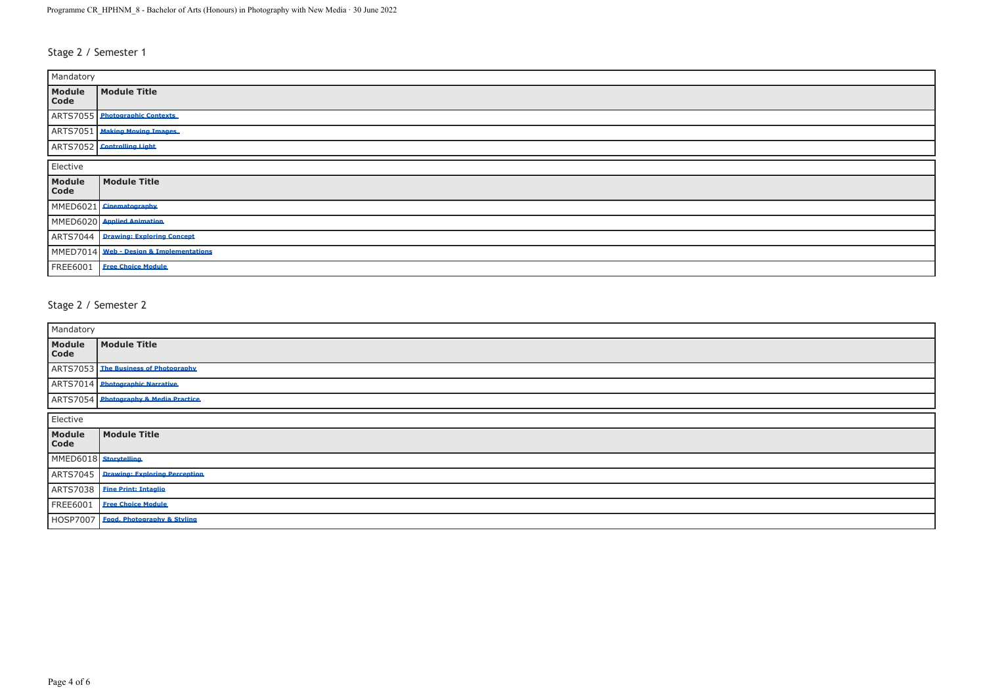# Stage 2 / Semester 1

| Mandatory       |                                         |  |
|-----------------|-----------------------------------------|--|
| Module<br>Code  | Module Title                            |  |
|                 | ARTS7055 Photographic Contexts          |  |
|                 | ARTS7051 Making Moving Images           |  |
|                 | ARTS7052 Controlling Light              |  |
| Elective        |                                         |  |
| Module<br>Code  | <b>Module Title</b>                     |  |
|                 | MMED6021 Cinematography                 |  |
|                 | MMED6020 Applied Animation              |  |
|                 | ARTS7044 Drawing: Exploring Concept     |  |
|                 | MMED7014 Web - Design & Implementations |  |
| <b>FREE6001</b> | <b>Free Choice Module</b>               |  |

#### Stage 2 / Semester 2

| Mandatory             |                                       |  |
|-----------------------|---------------------------------------|--|
| Module<br>Code        | <b>Module Title</b>                   |  |
|                       | ARTS7053 The Business of Photography  |  |
|                       | ARTS7014 Photographic Narrative       |  |
|                       | ARTS7054 Photography & Media Practice |  |
| Elective              |                                       |  |
| Module<br>Code        | Module Title                          |  |
| MMED6018 Storytelling |                                       |  |
| ARTS7045              | <b>Drawing: Exploring Perception</b>  |  |
|                       | ARTS7038 Eine Print: Intaglio         |  |
| <b>FREE6001</b>       | <b>Free Choice Module</b>             |  |
|                       | HOSP7007 Eood, Photography & Styling  |  |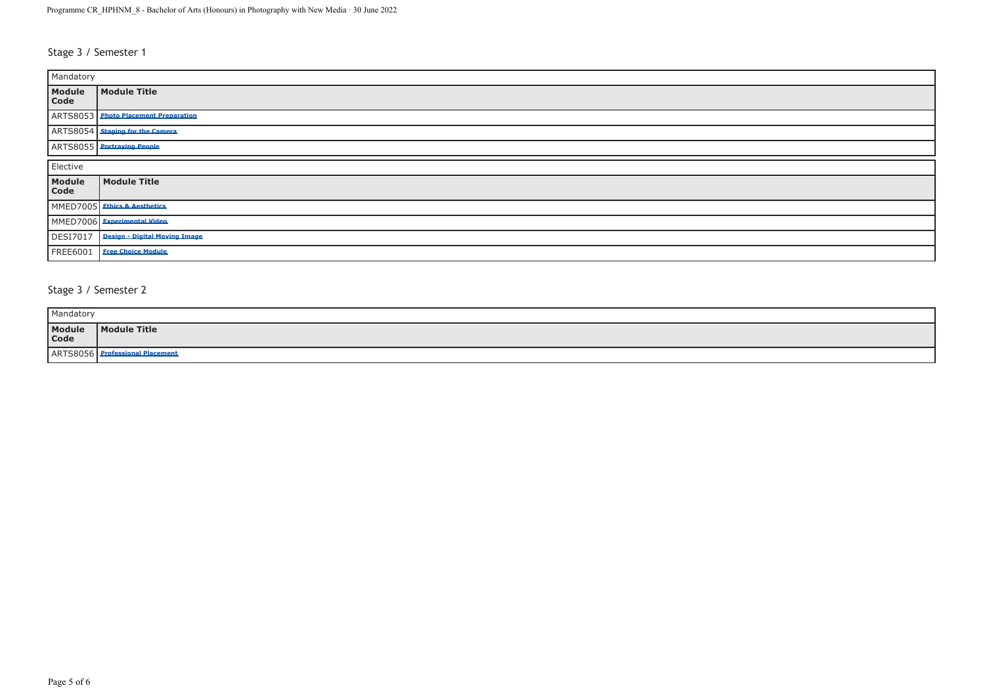# Stage 3 / Semester 1

| Mandatory       |                                      |  |
|-----------------|--------------------------------------|--|
| Module<br>Code  | Module Title                         |  |
|                 | ARTS8053 Photo Placement Preparation |  |
|                 | ARTS8054 Staging for the Camera      |  |
|                 | ARTS8055 Portraying People           |  |
| Elective        |                                      |  |
| Module<br>Code  | Module Title                         |  |
|                 | MMED7005 Ethics & Aesthetics         |  |
|                 | MMED7006 Experimental Video          |  |
| <b>DESI7017</b> | <b>Design - Digital Moving Image</b> |  |
| <b>FREE6001</b> | <b>Free Choice Module</b>            |  |

# Stage 3 / Semester 2

| Mandatory      |              |
|----------------|--------------|
| Module<br>Code | Module Title |
| ARTS805        |              |